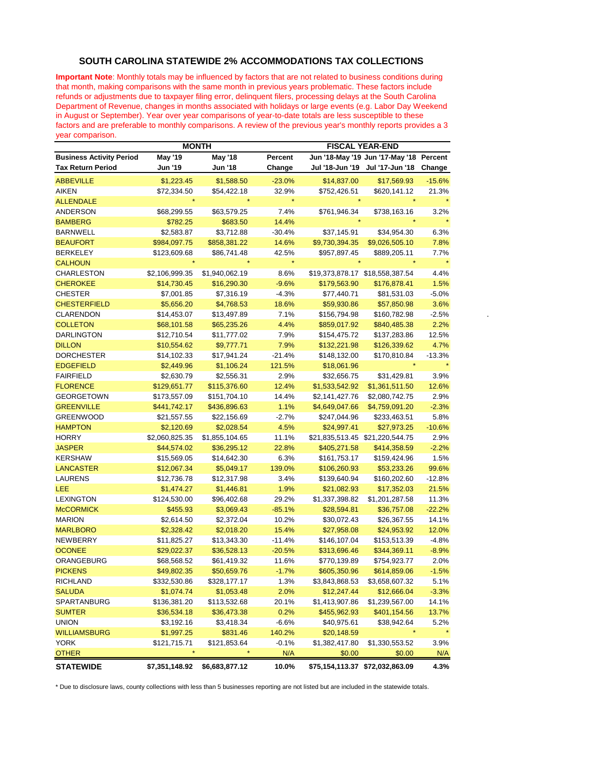## **SOUTH CAROLINA STATEWIDE 2% ACCOMMODATIONS TAX COLLECTIONS**

**Important Note**: Monthly totals may be influenced by factors that are not related to business conditions during that month, making comparisons with the same month in previous years problematic. These factors include refunds or adjustments due to taxpayer filing error, delinquent filers, processing delays at the South Carolina Department of Revenue, changes in months associated with holidays or large events (e.g. Labor Day Weekend in August or September). Year over year comparisons of year-to-date totals are less susceptible to these factors and are preferable to monthly comparisons. A review of the previous year's monthly reports provides a 3 year comparison.

|                                 | <b>MONTH</b>   |                |          | <b>FISCAL YEAR-END</b>          |                                         |          |  |
|---------------------------------|----------------|----------------|----------|---------------------------------|-----------------------------------------|----------|--|
| <b>Business Activity Period</b> | May '19        | <b>May '18</b> | Percent  |                                 | Jun '18-May '19 Jun '17-May '18 Percent |          |  |
| <b>Tax Return Period</b>        | Jun '19        | Jun '18        | Change   |                                 | Jul '18-Jun '19 Jul '17-Jun '18         | Change   |  |
| <b>ABBEVILLE</b>                | \$1,223.45     | \$1,588.50     | $-23.0%$ | \$14,837.00                     | \$17,569.93                             | $-15.6%$ |  |
| AIKEN                           | \$72,334.50    | \$54,422.18    | 32.9%    | \$752,426.51                    | \$620,141.12                            | 21.3%    |  |
| <b>ALLENDALE</b>                |                |                | $\star$  |                                 |                                         |          |  |
| ANDERSON                        | \$68,299.55    | \$63,579.25    | 7.4%     | \$761,946.34                    | \$738,163.16                            | 3.2%     |  |
| <b>BAMBERG</b>                  | \$782.25       | \$683.50       | 14.4%    |                                 |                                         |          |  |
| <b>BARNWELL</b>                 | \$2,583.87     | \$3,712.88     | -30.4%   | \$37,145.91                     | \$34,954.30                             | 6.3%     |  |
| <b>BEAUFORT</b>                 | \$984,097.75   | \$858,381.22   | 14.6%    | \$9,730,394.35                  | \$9,026,505.10                          | 7.8%     |  |
| <b>BERKELEY</b>                 | \$123,609.68   | \$86,741.48    | 42.5%    | \$957,897.45                    | \$889,205.11                            | 7.7%     |  |
| <b>CALHOUN</b>                  |                |                | $\star$  |                                 |                                         |          |  |
| <b>CHARLESTON</b>               | \$2,106,999.35 | \$1,940,062.19 | 8.6%     | \$19,373,878.17 \$18,558,387.54 |                                         | 4.4%     |  |
| <b>CHEROKEE</b>                 | \$14,730.45    | \$16,290.30    | $-9.6%$  | \$179,563.90                    | \$176,878.41                            | 1.5%     |  |
| <b>CHESTER</b>                  | \$7,001.85     | \$7,316.19     | $-4.3%$  | \$77,440.71                     | \$81,531.03                             | $-5.0%$  |  |
| <b>CHESTERFIELD</b>             | \$5,656.20     | \$4,768.53     | 18.6%    | \$59,930.86                     | \$57,850.98                             | 3.6%     |  |
| <b>CLARENDON</b>                | \$14,453.07    | \$13,497.89    | 7.1%     | \$156,794.98                    | \$160,782.98                            | $-2.5%$  |  |
| <b>COLLETON</b>                 | \$68,101.58    | \$65,235.26    | 4.4%     | \$859,017.92                    | \$840,485.38                            | 2.2%     |  |
| <b>DARLINGTON</b>               | \$12,710.54    | \$11,777.02    | 7.9%     | \$154,475.72                    | \$137,283.86                            | 12.5%    |  |
| <b>DILLON</b>                   | \$10,554.62    | \$9,777.71     | 7.9%     | \$132,221.98                    | \$126,339.62                            | 4.7%     |  |
| <b>DORCHESTER</b>               | \$14,102.33    | \$17,941.24    | $-21.4%$ | \$148,132.00                    | \$170,810.84                            | $-13.3%$ |  |
| <b>EDGEFIELD</b>                | \$2,449.96     | \$1,106.24     | 121.5%   | \$18,061.96                     |                                         |          |  |
| <b>FAIRFIELD</b>                | \$2,630.79     | \$2,556.31     | 2.9%     | \$32,656.75                     | \$31,429.81                             | 3.9%     |  |
| <b>FLORENCE</b>                 | \$129,651.77   | \$115,376.60   | 12.4%    | \$1,533,542.92                  | \$1,361,511.50                          | 12.6%    |  |
| <b>GEORGETOWN</b>               | \$173,557.09   | \$151,704.10   | 14.4%    | \$2,141,427.76                  | \$2,080,742.75                          | 2.9%     |  |
| <b>GREENVILLE</b>               | \$441,742.17   | \$436,896.63   | 1.1%     | \$4,649,047.66                  | \$4,759,091.20                          | $-2.3%$  |  |
| <b>GREENWOOD</b>                | \$21,557.55    | \$22,156.69    | $-2.7%$  | \$247,044.96                    | \$233,463.51                            | 5.8%     |  |
| <b>HAMPTON</b>                  | \$2,120.69     | \$2,028.54     | 4.5%     | \$24,997.41                     | \$27,973.25                             | $-10.6%$ |  |
| <b>HORRY</b>                    | \$2,060,825.35 | \$1,855,104.65 | 11.1%    |                                 | \$21,835,513.45 \$21,220,544.75         | 2.9%     |  |
| <b>JASPER</b>                   | \$44,574.02    | \$36,295.12    | 22.8%    | \$405,271.58                    | \$414,358.59                            | $-2.2%$  |  |
| <b>KERSHAW</b>                  | \$15,569.05    | \$14,642.30    | 6.3%     | \$161,753.17                    | \$159,424.96                            | 1.5%     |  |
| <b>LANCASTER</b>                | \$12,067.34    | \$5,049.17     | 139.0%   | \$106,260.93                    | \$53,233.26                             | 99.6%    |  |
| LAURENS                         | \$12,736.78    | \$12,317.98    | 3.4%     | \$139,640.94                    | \$160,202.60                            | $-12.8%$ |  |
| LEE                             | \$1,474.27     | \$1,446.81     | 1.9%     | \$21,082.93                     | \$17,352.03                             | 21.5%    |  |
| <b>LEXINGTON</b>                | \$124,530.00   | \$96,402.68    | 29.2%    | \$1,337,398.82                  | \$1,201,287.58                          | 11.3%    |  |
| <b>McCORMICK</b>                | \$455.93       | \$3,069.43     | $-85.1%$ | \$28,594.81                     | \$36,757.08                             | $-22.2%$ |  |
| <b>MARION</b>                   | \$2,614.50     | \$2,372.04     | 10.2%    | \$30,072.43                     | \$26,367.55                             | 14.1%    |  |
| <b>MARLBORO</b>                 | \$2,328.42     | \$2,018.20     | 15.4%    | \$27,958.08                     | \$24,953.92                             | 12.0%    |  |
| NEWBERRY                        | \$11,825.27    | \$13,343.30    | $-11.4%$ | \$146,107.04                    | \$153,513.39                            | $-4.8%$  |  |
| <b>OCONEE</b>                   | \$29,022.37    | \$36,528.13    | $-20.5%$ | \$313,696.46                    | \$344,369.11                            | $-8.9%$  |  |
| ORANGEBURG                      | \$68,568.52    | \$61,419.32    | 11.6%    | \$770,139.89                    | \$754,923.77                            | 2.0%     |  |
| <b>PICKENS</b>                  | \$49,802.35    | \$50,659.76    | $-1.7%$  | \$605,350.96                    | \$614,859.06                            | $-1.5%$  |  |
| <b>RICHLAND</b>                 | \$332,530.86   | \$328,177.17   | $1.3\%$  | \$3,843,868.53                  | \$3,658,607.32                          | 5.1%     |  |
| <b>SALUDA</b>                   | \$1,074.74     | \$1,053.48     | 2.0%     | \$12,247.44                     | \$12,666.04                             | $-3.3%$  |  |
| SPARTANBURG                     | \$136,381.20   | \$113,532.68   | 20.1%    | \$1,413,907.86                  | \$1,239,567.00                          | 14.1%    |  |
| <b>SUMTER</b>                   | \$36,534.18    | \$36,473.38    | 0.2%     | \$455,962.93                    | \$401,154.56                            | 13.7%    |  |
| <b>UNION</b>                    | \$3,192.16     | \$3,418.34     | $-6.6%$  | \$40,975.61                     | \$38,942.64                             | 5.2%     |  |
| <b>WILLIAMSBURG</b>             | \$1,997.25     | \$831.46       | 140.2%   | \$20,148.59                     | $\star$                                 | $\star$  |  |
| <b>YORK</b>                     | \$121,715.71   | \$121,853.64   | $-0.1%$  | \$1,382,417.80                  | \$1,330,553.52                          | 3.9%     |  |
| <b>OTHER</b>                    |                |                | N/A      | \$0.00                          | \$0.00                                  | N/A      |  |
| <b>STATEWIDE</b>                | \$7,351,148.92 | \$6,683,877.12 | 10.0%    | \$75,154,113.37 \$72,032,863.09 |                                         | 4.3%     |  |

\* Due to disclosure laws, county collections with less than 5 businesses reporting are not listed but are included in the statewide totals.